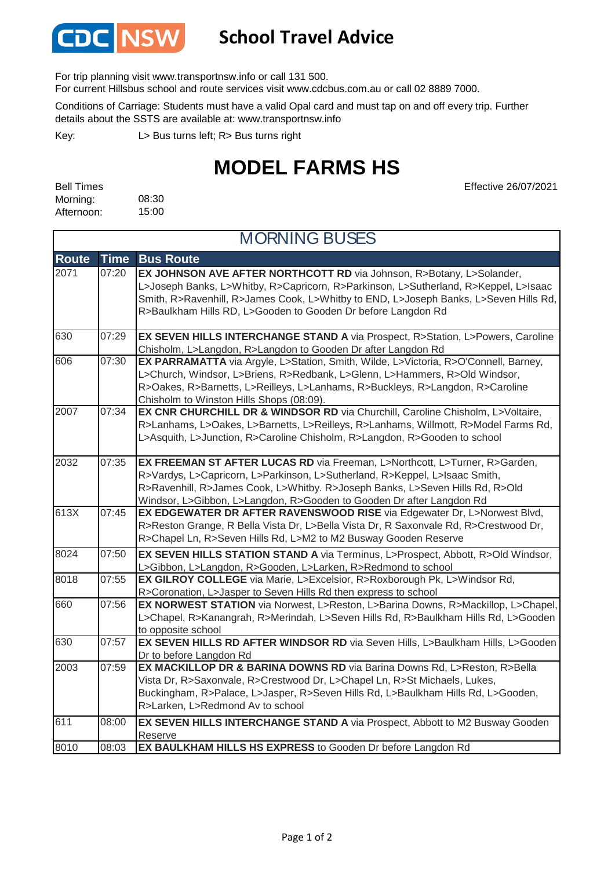

## **School Travel Advice**

For trip planning visit www.transportnsw.info or call 131 500.

For current Hillsbus school and route services visit www.cdcbus.com.au or call 02 8889 7000.

Conditions of Carriage: Students must have a valid Opal card and must tap on and off every trip. Further details about the SSTS are available at: www.transportnsw.info

L> Bus turns left; R> Bus turns right Key:

## **MODEL FARMS HS**

| <b>Bell Times</b> |       |
|-------------------|-------|
| Morning:          | 08:30 |
| Afternoon:        | 15:00 |

 $\mathsf{r}$ 

Effective 26/07/2021

| <b>MORNING BUSES</b> |             |                                                                                                                                                                                                                                                                                                                     |  |
|----------------------|-------------|---------------------------------------------------------------------------------------------------------------------------------------------------------------------------------------------------------------------------------------------------------------------------------------------------------------------|--|
| <b>Route</b>         | <b>Time</b> | <b>Bus Route</b>                                                                                                                                                                                                                                                                                                    |  |
| 2071                 | 07:20       | EX JOHNSON AVE AFTER NORTHCOTT RD via Johnson, R>Botany, L>Solander,<br>L>Joseph Banks, L>Whitby, R>Capricorn, R>Parkinson, L>Sutherland, R>Keppel, L>Isaac<br>Smith, R>Ravenhill, R>James Cook, L>Whitby to END, L>Joseph Banks, L>Seven Hills Rd,<br>R>Baulkham Hills RD, L>Gooden to Gooden Dr before Langdon Rd |  |
| 630                  | 07:29       | EX SEVEN HILLS INTERCHANGE STAND A via Prospect, R>Station, L>Powers, Caroline<br>Chisholm, L>Langdon, R>Langdon to Gooden Dr after Langdon Rd                                                                                                                                                                      |  |
| 606                  | 07:30       | EX PARRAMATTA via Argyle, L>Station, Smith, Wilde, L>Victoria, R>O'Connell, Barney,<br>L>Church, Windsor, L>Briens, R>Redbank, L>Glenn, L>Hammers, R>Old Windsor,<br>R>Oakes, R>Barnetts, L>Reilleys, L>Lanhams, R>Buckleys, R>Langdon, R>Caroline<br>Chisholm to Winston Hills Shops (08:09).                      |  |
| 2007                 | 07:34       | EX CNR CHURCHILL DR & WINDSOR RD via Churchill, Caroline Chisholm, L>Voltaire,<br>R>Lanhams, L>Oakes, L>Barnetts, L>Reilleys, R>Lanhams, Willmott, R>Model Farms Rd,<br>L>Asquith, L>Junction, R>Caroline Chisholm, R>Langdon, R>Gooden to school                                                                   |  |
| 2032                 | 07:35       | EX FREEMAN ST AFTER LUCAS RD via Freeman, L>Northcott, L>Turner, R>Garden,<br>R>Vardys, L>Capricorn, L>Parkinson, L>Sutherland, R>Keppel, L>Isaac Smith,<br>R>Ravenhill, R>James Cook, L>Whitby. R>Joseph Banks, L>Seven Hills Rd, R>Old<br>Windsor, L>Gibbon, L>Langdon, R>Gooden to Gooden Dr after Langdon Rd    |  |
| 613X                 | 07:45       | EX EDGEWATER DR AFTER RAVENSWOOD RISE via Edgewater Dr, L>Norwest Blvd,<br>R>Reston Grange, R Bella Vista Dr, L>Bella Vista Dr, R Saxonvale Rd, R>Crestwood Dr,<br>R>Chapel Ln, R>Seven Hills Rd, L>M2 to M2 Busway Gooden Reserve                                                                                  |  |
| 8024                 | 07:50       | EX SEVEN HILLS STATION STAND A via Terminus, L>Prospect, Abbott, R>Old Windsor,<br>L>Gibbon, L>Langdon, R>Gooden, L>Larken, R>Redmond to school                                                                                                                                                                     |  |
| 8018                 | 07:55       | EX GILROY COLLEGE via Marie, L>Excelsior, R>Roxborough Pk, L>Windsor Rd,<br>R>Coronation, L>Jasper to Seven Hills Rd then express to school                                                                                                                                                                         |  |
| 660                  | 07:56       | EX NORWEST STATION via Norwest, L>Reston, L>Barina Downs, R>Mackillop, L>Chapel,<br>L>Chapel, R>Kanangrah, R>Merindah, L>Seven Hills Rd, R>Baulkham Hills Rd, L>Gooden<br>to opposite school                                                                                                                        |  |
| 630                  | 07:57       | EX SEVEN HILLS RD AFTER WINDSOR RD via Seven Hills, L>Baulkham Hills, L>Gooden<br>Dr to before Langdon Rd                                                                                                                                                                                                           |  |
| 2003                 | 07:59       | EX MACKILLOP DR & BARINA DOWNS RD via Barina Downs Rd, L>Reston, R>Bella<br>Vista Dr, R>Saxonvale, R>Crestwood Dr, L>Chapel Ln, R>St Michaels, Lukes,<br>Buckingham, R>Palace, L>Jasper, R>Seven Hills Rd, L>Baulkham Hills Rd, L>Gooden,<br>R>Larken, L>Redmond Av to school                                       |  |
| 611                  | 08:00       | EX SEVEN HILLS INTERCHANGE STAND A via Prospect, Abbott to M2 Busway Gooden<br>Reserve                                                                                                                                                                                                                              |  |
| 8010                 | 08:03       | EX BAULKHAM HILLS HS EXPRESS to Gooden Dr before Langdon Rd                                                                                                                                                                                                                                                         |  |